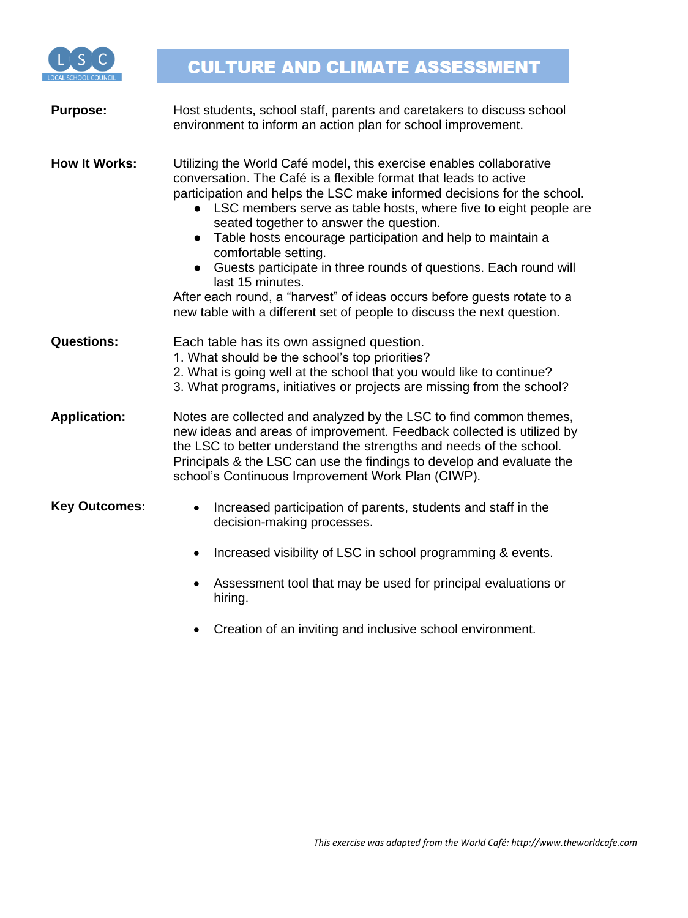

| <b>Purpose:</b>      | Host students, school staff, parents and caretakers to discuss school<br>environment to inform an action plan for school improvement.                                                                                                                                                                                                                                                                                                                                                                                                                                                                                                                                               |
|----------------------|-------------------------------------------------------------------------------------------------------------------------------------------------------------------------------------------------------------------------------------------------------------------------------------------------------------------------------------------------------------------------------------------------------------------------------------------------------------------------------------------------------------------------------------------------------------------------------------------------------------------------------------------------------------------------------------|
| <b>How It Works:</b> | Utilizing the World Café model, this exercise enables collaborative<br>conversation. The Café is a flexible format that leads to active<br>participation and helps the LSC make informed decisions for the school.<br>• LSC members serve as table hosts, where five to eight people are<br>seated together to answer the question.<br>Table hosts encourage participation and help to maintain a<br>$\bullet$<br>comfortable setting.<br>Guests participate in three rounds of questions. Each round will<br>last 15 minutes.<br>After each round, a "harvest" of ideas occurs before guests rotate to a<br>new table with a different set of people to discuss the next question. |
| <b>Questions:</b>    | Each table has its own assigned question.<br>1. What should be the school's top priorities?<br>2. What is going well at the school that you would like to continue?<br>3. What programs, initiatives or projects are missing from the school?                                                                                                                                                                                                                                                                                                                                                                                                                                       |
| <b>Application:</b>  | Notes are collected and analyzed by the LSC to find common themes,<br>new ideas and areas of improvement. Feedback collected is utilized by<br>the LSC to better understand the strengths and needs of the school.<br>Principals & the LSC can use the findings to develop and evaluate the<br>school's Continuous Improvement Work Plan (CIWP).                                                                                                                                                                                                                                                                                                                                    |
| <b>Key Outcomes:</b> | Increased participation of parents, students and staff in the<br>decision-making processes.                                                                                                                                                                                                                                                                                                                                                                                                                                                                                                                                                                                         |
|                      | Increased visibility of LSC in school programming & events.<br>$\bullet$                                                                                                                                                                                                                                                                                                                                                                                                                                                                                                                                                                                                            |
|                      | Assessment tool that may be used for principal evaluations or<br>hiring.                                                                                                                                                                                                                                                                                                                                                                                                                                                                                                                                                                                                            |

• Creation of an inviting and inclusive school environment.